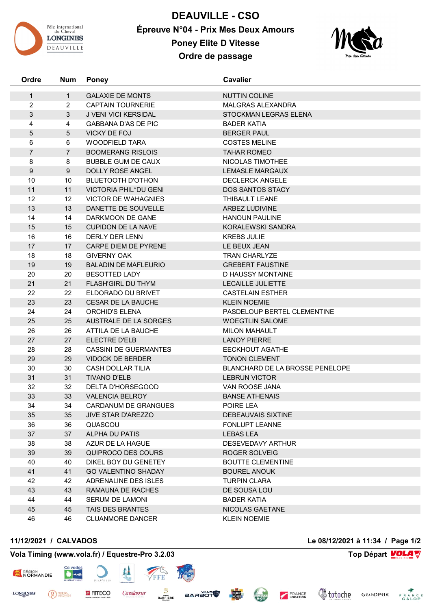

**DEAUVILLE - CSO Épreuve N°04 - Prix Mes Deux Amours Poney Elite D Vitesse Ordre de passage**



| Ordre                 | Num                            | <b>Poney</b>                                          | Cavalier                                   |
|-----------------------|--------------------------------|-------------------------------------------------------|--------------------------------------------|
|                       |                                |                                                       |                                            |
| $\mathbf{1}$<br>2     | $\mathbf{1}$<br>$\overline{2}$ | <b>GALAXIE DE MONTS</b><br><b>CAPTAIN TOURNERIE</b>   | NUTTIN COLINE<br>MALGRAS ALEXANDRA         |
| $\mathbf{3}$          | 3                              | J VENI VICI KERSIDAL                                  | STOCKMAN LEGRAS ELENA                      |
| 4                     | 4                              | <b>GABBANA D'AS DE PIC</b>                            | <b>BADER KATIA</b>                         |
|                       |                                | <b>VICKY DE FOJ</b>                                   |                                            |
| 5                     | $\sqrt{5}$<br>6                | <b>WOODFIELD TARA</b>                                 | <b>BERGER PAUL</b><br><b>COSTES MELINE</b> |
| 6<br>$\overline{7}$   | $\overline{7}$                 |                                                       |                                            |
|                       |                                | <b>BOOMERANG RISLOIS</b><br><b>BUBBLE GUM DE CAUX</b> | <b>TAHAR ROMEO</b><br>NICOLAS TIMOTHEE     |
| 8<br>$\boldsymbol{9}$ | 8<br>$9\,$                     | DOLLY ROSE ANGEL                                      | <b>LEMASLE MARGAUX</b>                     |
| 10                    | 10                             | <b>BLUETOOTH D'OTHON</b>                              | <b>DECLERCK ANGELE</b>                     |
| 11                    | 11                             | <b>VICTORIA PHIL*DU GENI</b>                          | <b>DOS SANTOS STACY</b>                    |
| 12                    | 12                             | <b>VICTOR DE WAHAGNIES</b>                            | THIBAULT LEANE                             |
| 13                    | 13                             | DANETTE DE SOUVELLE                                   | ARBEZ LUDIVINE                             |
| 14                    | 14                             | DARKMOON DE GANE                                      | <b>HANOUN PAULINE</b>                      |
| 15                    | 15                             | <b>CUPIDON DE LA NAVE</b>                             | <b>KORALEWSKI SANDRA</b>                   |
| 16                    | 16                             | DERLY DER LENN                                        | <b>KREBS JULIE</b>                         |
| 17                    | 17                             | CARPE DIEM DE PYRENE                                  | LE BEUX JEAN                               |
| 18                    | 18                             | <b>GIVERNY OAK</b>                                    | <b>TRAN CHARLYZE</b>                       |
| 19                    | 19                             | <b>BALADIN DE MAFLEURIO</b>                           | <b>GREBERT FAUSTINE</b>                    |
| 20                    | 20                             | <b>BESOTTED LADY</b>                                  | D HAUSSY MONTAINE                          |
| 21                    | 21                             | <b>FLASH'GIRL DU THYM</b>                             | LECAILLE JULIETTE                          |
| 22                    | 22                             | ELDORADO DU BRIVET                                    | <b>CASTELAIN ESTHER</b>                    |
| 23                    | 23                             | <b>CESAR DE LA BAUCHE</b>                             | <b>KLEIN NOEMIE</b>                        |
| 24                    | 24                             | <b>ORCHID'S ELENA</b>                                 | PASDELOUP BERTEL CLEMENTINE                |
| 25                    | 25                             | AUSTRALE DE LA SORGES                                 | <b>WOEGTLIN SALOME</b>                     |
| 26                    | 26                             | ATTILA DE LA BAUCHE                                   | <b>MILON MAHAULT</b>                       |
| 27                    | 27                             | ELECTRE D'ELB                                         | <b>LANOY PIERRE</b>                        |
| 28                    | 28                             | <b>CASSINI DE GUERMANTES</b>                          | EECKHOUT AGATHE                            |
| 29                    | 29                             | <b>VIDOCK DE BERDER</b>                               | <b>TONON CLEMENT</b>                       |
| 30                    | 30                             | CASH DOLLAR TILIA                                     | BLANCHARD DE LA BROSSE PENELOPE            |
| 31                    | 31                             | <b>TIVANO D'ELB</b>                                   | <b>LEBRUN VICTOR</b>                       |
| 32                    | 32                             | <b>DELTA D'HORSEGOOD</b>                              | VAN ROOSE JANA                             |
| 33                    | 33                             | <b>VALENCIA BELROY</b>                                | <b>BANSE ATHENAIS</b>                      |
| 34                    | 34                             | CARDANUM DE GRANGUES                                  | POIRE LEA                                  |
| 35                    | 35                             | JIVE STAR D'AREZZO                                    | <b>DEBEAUVAIS SIXTINE</b>                  |
| 36                    | 36                             | QUASCOU                                               | <b>FONLUPT LEANNE</b>                      |
| 37                    | 37                             | <b>ALPHA DU PATIS</b>                                 | <b>LEBAS LEA</b>                           |
| 38                    | 38                             | AZUR DE LA HAGUE                                      | <b>DESEVEDAVY ARTHUR</b>                   |
| 39                    | 39                             | QUIPROCO DES COURS                                    | ROGER SOLVEIG                              |
| 40                    | 40                             | DIKEL BOY DU GENETEY                                  | <b>BOUTTE CLEMENTINE</b>                   |
| 41                    | 41                             | <b>GO VALENTINO SHADAY</b>                            | <b>BOUREL ANOUK</b>                        |
| 42                    | 42                             | ADRENALINE DES ISLES                                  | <b>TURPIN CLARA</b>                        |
| 43                    | 43                             | RAMAUNA DE RACHES                                     | DE SOUSA LOU                               |
| 44                    | 44                             | SERUM DE LAMONI                                       | <b>BADER KATIA</b>                         |
| 45                    | 45                             | TAIS DES BRANTES                                      | NICOLAS GAETANE                            |
| 46                    | 46                             | <b>CLUANMORE DANCER</b>                               | <b>KLEIN NOEMIE</b>                        |
|                       |                                |                                                       |                                            |

## **11/12/2021 / CALVADOS Le 08/12/2021 à 11:34 / Page 1/2**

<sup>PIERRE</sup>

## **Vola Timing (www.vola.fr) / Equestre-Pro 3.2.03 Top Départ VOLA**

**FITECO** 

 $\bullet$ 

墾

Cavalassur

FFE

 $\frac{B}{BARRIERE}$ 

**BARAOT** 



**LONGINES** 

**Votoche** GRANDPRIX FRANCE

FRANCE

**CLEAN** 

**FOUIP**